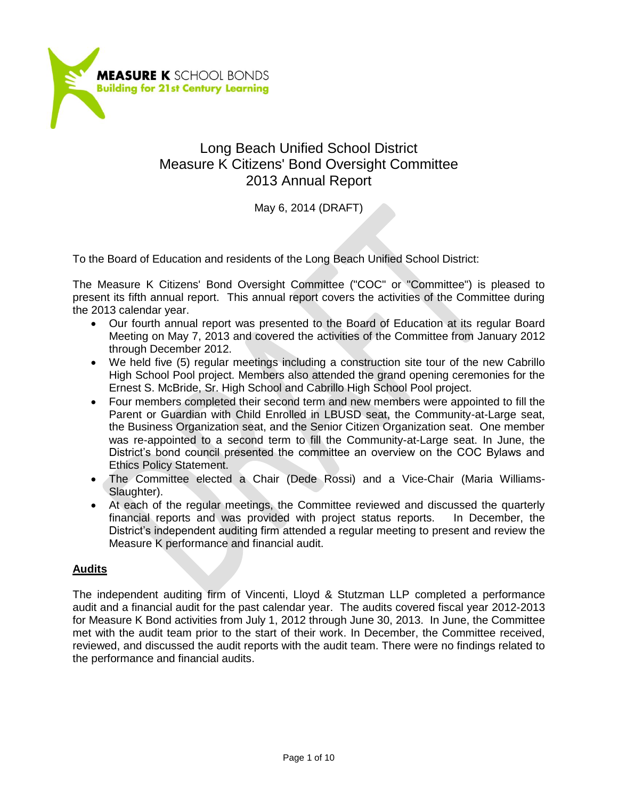

# Long Beach Unified School District Measure K Citizens' Bond Oversight Committee 2013 Annual Report

May 6, 2014 (DRAFT)

To the Board of Education and residents of the Long Beach Unified School District:

The Measure K Citizens' Bond Oversight Committee ("COC" or "Committee") is pleased to present its fifth annual report. This annual report covers the activities of the Committee during the 2013 calendar year.

- Our fourth annual report was presented to the Board of Education at its regular Board Meeting on May 7, 2013 and covered the activities of the Committee from January 2012 through December 2012.
- We held five (5) regular meetings including a construction site tour of the new Cabrillo High School Pool project. Members also attended the grand opening ceremonies for the Ernest S. McBride, Sr. High School and Cabrillo High School Pool project.
- Four members completed their second term and new members were appointed to fill the Parent or Guardian with Child Enrolled in LBUSD seat, the Community-at-Large seat, the Business Organization seat, and the Senior Citizen Organization seat. One member was re-appointed to a second term to fill the Community-at-Large seat. In June, the District's bond council presented the committee an overview on the COC Bylaws and Ethics Policy Statement.
- The Committee elected a Chair (Dede Rossi) and a Vice-Chair (Maria Williams-Slaughter).
- At each of the regular meetings, the Committee reviewed and discussed the quarterly financial reports and was provided with project status reports. In December, the District's independent auditing firm attended a regular meeting to present and review the Measure K performance and financial audit.

## **Audits**

The independent auditing firm of Vincenti, Lloyd & Stutzman LLP completed a performance audit and a financial audit for the past calendar year. The audits covered fiscal year 2012-2013 for Measure K Bond activities from July 1, 2012 through June 30, 2013. In June, the Committee met with the audit team prior to the start of their work. In December, the Committee received, reviewed, and discussed the audit reports with the audit team. There were no findings related to the performance and financial audits.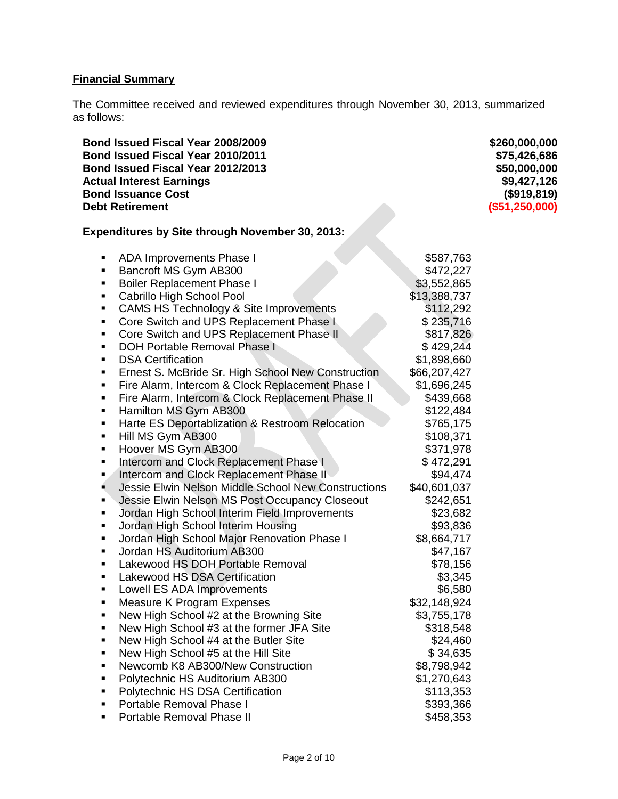# **Financial Summary**

The Committee received and reviewed expenditures through November 30, 2013, summarized as follows:

| Bond Issued Fiscal Year 2008/2009<br>Bond Issued Fiscal Year 2010/2011<br>Bond Issued Fiscal Year 2012/2013<br><b>Actual Interest Earnings</b><br><b>Bond Issuance Cost</b><br><b>Debt Retirement</b>                                                                                                                                                                                                                                                                                                                                                                                                                                                                                                                                                                                                                                                                                                                                                                                                                                                                                                                                                                                                                                                                                                                                                                                                                                                                                                                                                                                      |                                                                                                                                                                                                                                                                                                                                                                                                                                                                                    | \$260,000,000<br>\$75,426,686<br>\$50,000,000<br>\$9,427,126<br>(\$919, 819)<br>(\$51,250,000) |
|--------------------------------------------------------------------------------------------------------------------------------------------------------------------------------------------------------------------------------------------------------------------------------------------------------------------------------------------------------------------------------------------------------------------------------------------------------------------------------------------------------------------------------------------------------------------------------------------------------------------------------------------------------------------------------------------------------------------------------------------------------------------------------------------------------------------------------------------------------------------------------------------------------------------------------------------------------------------------------------------------------------------------------------------------------------------------------------------------------------------------------------------------------------------------------------------------------------------------------------------------------------------------------------------------------------------------------------------------------------------------------------------------------------------------------------------------------------------------------------------------------------------------------------------------------------------------------------------|------------------------------------------------------------------------------------------------------------------------------------------------------------------------------------------------------------------------------------------------------------------------------------------------------------------------------------------------------------------------------------------------------------------------------------------------------------------------------------|------------------------------------------------------------------------------------------------|
| <b>Expenditures by Site through November 30, 2013:</b>                                                                                                                                                                                                                                                                                                                                                                                                                                                                                                                                                                                                                                                                                                                                                                                                                                                                                                                                                                                                                                                                                                                                                                                                                                                                                                                                                                                                                                                                                                                                     |                                                                                                                                                                                                                                                                                                                                                                                                                                                                                    |                                                                                                |
| ADA Improvements Phase I<br>٠<br>Bancroft MS Gym AB300<br>٠<br><b>Boiler Replacement Phase I</b><br>٠<br>Cabrillo High School Pool<br>٠<br><b>CAMS HS Technology &amp; Site Improvements</b><br>п<br>Core Switch and UPS Replacement Phase I<br>٠<br>Core Switch and UPS Replacement Phase II<br>٠<br><b>DOH Portable Removal Phase I</b><br>٠<br><b>DSA Certification</b><br>п<br>Ernest S. McBride Sr. High School New Construction<br>٠<br>Fire Alarm, Intercom & Clock Replacement Phase I<br>п<br>Fire Alarm, Intercom & Clock Replacement Phase II<br>٠<br>Hamilton MS Gym AB300<br>٠<br>Harte ES Deportablization & Restroom Relocation<br>п<br>Hill MS Gym AB300<br>٠<br>Hoover MS Gym AB300<br>٠<br>Intercom and Clock Replacement Phase I<br>П<br>Intercom and Clock Replacement Phase II<br>П<br>Jessie Elwin Nelson Middle School New Constructions<br>٠<br>Jessie Elwin Nelson MS Post Occupancy Closeout<br>٠<br>Jordan High School Interim Field Improvements<br>٠<br>Jordan High School Interim Housing<br>٠<br>Jordan High School Major Renovation Phase I<br>П<br>Jordan HS Auditorium AB300<br>٠<br>Lakewood HS DOH Portable Removal<br>٠<br>Lakewood HS DSA Certification<br>٠<br>Lowell ES ADA Improvements<br>Measure K Program Expenses<br>П<br>New High School #2 at the Browning Site<br>٠<br>New High School #3 at the former JFA Site<br>٠<br>New High School #4 at the Butler Site<br>٠<br>New High School #5 at the Hill Site<br>П<br>Newcomb K8 AB300/New Construction<br>п<br>Polytechnic HS Auditorium AB300<br>٠<br>Polytechnic HS DSA Certification<br>П | \$587,763<br>\$472,227<br>\$3,552,865<br>\$13,388,737<br>\$112,292<br>\$235,716<br>\$817,826<br>\$429,244<br>\$1,898,660<br>\$66,207,427<br>\$1,696,245<br>\$439,668<br>\$122,484<br>\$765,175<br>\$108,371<br>\$371,978<br>\$472,291<br>\$94,474<br>\$40,601,037<br>\$242,651<br>\$23,682<br>\$93,836<br>\$8,664,717<br>\$47,167<br>\$78,156<br>\$3,345<br>\$6,580<br>\$32,148,924<br>\$3,755,178<br>\$318,548<br>\$24,460<br>\$34,635<br>\$8,798,942<br>\$1,270,643<br>\$113,353 |                                                                                                |
| Portable Removal Phase I<br>٠<br>Portable Removal Phase II<br>٠                                                                                                                                                                                                                                                                                                                                                                                                                                                                                                                                                                                                                                                                                                                                                                                                                                                                                                                                                                                                                                                                                                                                                                                                                                                                                                                                                                                                                                                                                                                            | \$393,366<br>\$458,353                                                                                                                                                                                                                                                                                                                                                                                                                                                             |                                                                                                |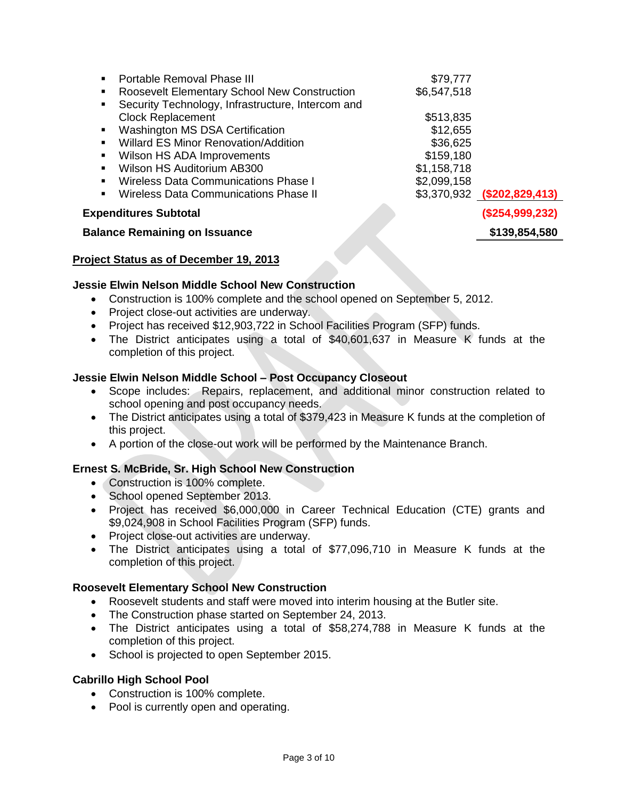| <b>Portable Removal Phase III</b>                             | \$79,777    |                              |
|---------------------------------------------------------------|-------------|------------------------------|
| <b>Roosevelt Elementary School New Construction</b>           | \$6,547,518 |                              |
| • Security Technology, Infrastructure, Intercom and           |             |                              |
| <b>Clock Replacement</b>                                      | \$513,835   |                              |
| <b>Washington MS DSA Certification</b>                        | \$12,655    |                              |
| <b>Willard ES Minor Renovation/Addition</b><br>$\blacksquare$ | \$36,625    |                              |
| Wilson HS ADA Improvements<br>$\blacksquare$                  | \$159,180   |                              |
| Wilson HS Auditorium AB300<br>$\blacksquare$                  | \$1,158,718 |                              |
| Wireless Data Communications Phase I<br>$\blacksquare$        | \$2,099,158 |                              |
| Wireless Data Communications Phase II<br>$\blacksquare$       |             | $$3,370,932$ (\$202,829,413) |
| <b>Expenditures Subtotal</b>                                  |             | (\$254,999,232)              |

## **Balance Remaining on Issuance <b>by Alan Account 120 and 139,854,580**

# **Project Status as of December 19, 2013**

# **Jessie Elwin Nelson Middle School New Construction**

- Construction is 100% complete and the school opened on September 5, 2012.
- Project close-out activities are underway.
- Project has received \$12,903,722 in School Facilities Program (SFP) funds.
- The District anticipates using a total of \$40,601,637 in Measure K funds at the completion of this project.

## **Jessie Elwin Nelson Middle School – Post Occupancy Closeout**

- Scope includes: Repairs, replacement, and additional minor construction related to school opening and post occupancy needs.
- The District anticipates using a total of \$379,423 in Measure K funds at the completion of this project.
- A portion of the close-out work will be performed by the Maintenance Branch.

## **Ernest S. McBride, Sr. High School New Construction**

- Construction is 100% complete.
- School opened September 2013.
- Project has received \$6,000,000 in Career Technical Education (CTE) grants and \$9,024,908 in School Facilities Program (SFP) funds.
- Project close-out activities are underway.
- The District anticipates using a total of \$77,096,710 in Measure K funds at the completion of this project.

## **Roosevelt Elementary School New Construction**

- Roosevelt students and staff were moved into interim housing at the Butler site.
- The Construction phase started on September 24, 2013.
- The District anticipates using a total of \$58,274,788 in Measure K funds at the completion of this project.
- School is projected to open September 2015.

## **Cabrillo High School Pool**

- Construction is 100% complete.
- Pool is currently open and operating.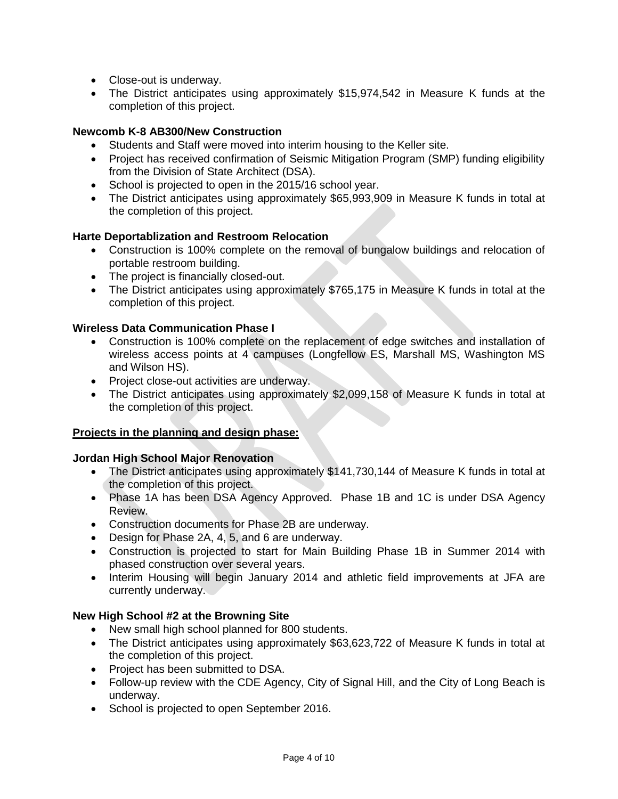- Close-out is underway.
- The District anticipates using approximately \$15,974,542 in Measure K funds at the completion of this project.

## **Newcomb K-8 AB300/New Construction**

- Students and Staff were moved into interim housing to the Keller site.
- Project has received confirmation of Seismic Mitigation Program (SMP) funding eligibility from the Division of State Architect (DSA).
- School is projected to open in the 2015/16 school year.
- The District anticipates using approximately \$65,993,909 in Measure K funds in total at the completion of this project.

# **Harte Deportablization and Restroom Relocation**

- Construction is 100% complete on the removal of bungalow buildings and relocation of portable restroom building.
- The project is financially closed-out.
- The District anticipates using approximately \$765,175 in Measure K funds in total at the completion of this project.

## **Wireless Data Communication Phase I**

- Construction is 100% complete on the replacement of edge switches and installation of wireless access points at 4 campuses (Longfellow ES, Marshall MS, Washington MS and Wilson HS).
- Project close-out activities are underway.
- The District anticipates using approximately \$2,099,158 of Measure K funds in total at the completion of this project.

## **Projects in the planning and design phase:**

#### **Jordan High School Major Renovation**

- The District anticipates using approximately \$141,730,144 of Measure K funds in total at the completion of this project.
- Phase 1A has been DSA Agency Approved. Phase 1B and 1C is under DSA Agency Review.
- Construction documents for Phase 2B are underway.
- Design for Phase 2A, 4, 5, and 6 are underway.
- Construction is projected to start for Main Building Phase 1B in Summer 2014 with phased construction over several years.
- Interim Housing will begin January 2014 and athletic field improvements at JFA are currently underway.

## **New High School #2 at the Browning Site**

- New small high school planned for 800 students.
- The District anticipates using approximately \$63,623,722 of Measure K funds in total at the completion of this project.
- Project has been submitted to DSA.
- Follow-up review with the CDE Agency, City of Signal Hill, and the City of Long Beach is underway.
- School is projected to open September 2016.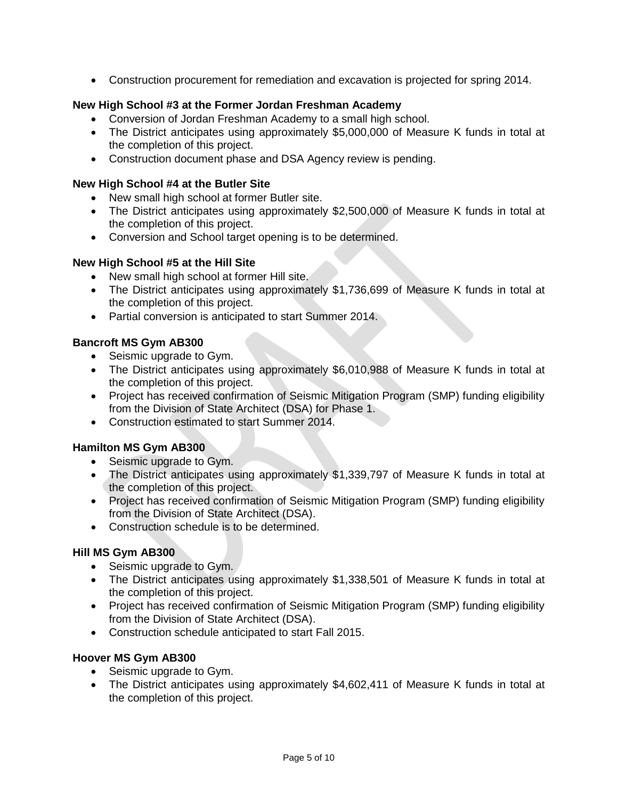Construction procurement for remediation and excavation is projected for spring 2014.

## **New High School #3 at the Former Jordan Freshman Academy**

- Conversion of Jordan Freshman Academy to a small high school.
- The District anticipates using approximately \$5,000,000 of Measure K funds in total at the completion of this project.
- Construction document phase and DSA Agency review is pending.

### **New High School #4 at the Butler Site**

- New small high school at former Butler site.
- The District anticipates using approximately \$2,500,000 of Measure K funds in total at the completion of this project.
- Conversion and School target opening is to be determined.

## **New High School #5 at the Hill Site**

- New small high school at former Hill site.
- The District anticipates using approximately \$1,736,699 of Measure K funds in total at the completion of this project.
- Partial conversion is anticipated to start Summer 2014.

# **Bancroft MS Gym AB300**

- Seismic upgrade to Gym.
- The District anticipates using approximately \$6,010,988 of Measure K funds in total at the completion of this project.
- Project has received confirmation of Seismic Mitigation Program (SMP) funding eligibility from the Division of State Architect (DSA) for Phase 1.
- Construction estimated to start Summer 2014.

## **Hamilton MS Gym AB300**

- Seismic upgrade to Gym.
- The District anticipates using approximately \$1,339,797 of Measure K funds in total at the completion of this project.
- Project has received confirmation of Seismic Mitigation Program (SMP) funding eligibility from the Division of State Architect (DSA).
- Construction schedule is to be determined.

## **Hill MS Gym AB300**

- Seismic upgrade to Gym.
- The District anticipates using approximately \$1,338,501 of Measure K funds in total at the completion of this project.
- Project has received confirmation of Seismic Mitigation Program (SMP) funding eligibility from the Division of State Architect (DSA).
- Construction schedule anticipated to start Fall 2015.

## **Hoover MS Gym AB300**

- Seismic upgrade to Gym.
- The District anticipates using approximately \$4,602,411 of Measure K funds in total at the completion of this project.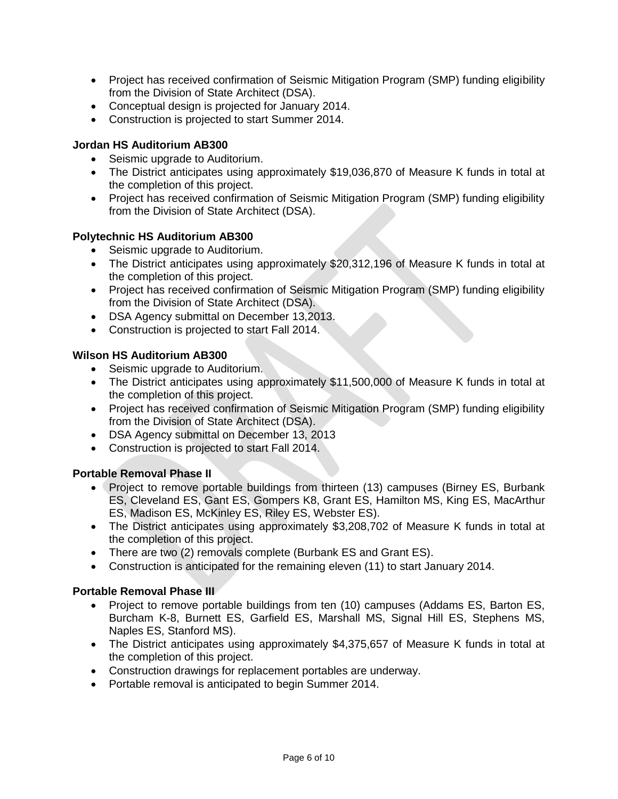- Project has received confirmation of Seismic Mitigation Program (SMP) funding eligibility from the Division of State Architect (DSA).
- Conceptual design is projected for January 2014.
- Construction is projected to start Summer 2014.

## **Jordan HS Auditorium AB300**

- Seismic upgrade to Auditorium.
- The District anticipates using approximately \$19,036,870 of Measure K funds in total at the completion of this project.
- Project has received confirmation of Seismic Mitigation Program (SMP) funding eligibility from the Division of State Architect (DSA).

### **Polytechnic HS Auditorium AB300**

- Seismic upgrade to Auditorium.
- The District anticipates using approximately \$20,312,196 of Measure K funds in total at the completion of this project.
- Project has received confirmation of Seismic Mitigation Program (SMP) funding eligibility from the Division of State Architect (DSA).
- DSA Agency submittal on December 13,2013.
- Construction is projected to start Fall 2014.

#### **Wilson HS Auditorium AB300**

- Seismic upgrade to Auditorium.
- The District anticipates using approximately \$11,500,000 of Measure K funds in total at the completion of this project.
- Project has received confirmation of Seismic Mitigation Program (SMP) funding eligibility from the Division of State Architect (DSA).
- DSA Agency submittal on December 13, 2013
- Construction is projected to start Fall 2014.

#### **Portable Removal Phase II**

- Project to remove portable buildings from thirteen (13) campuses (Birney ES, Burbank ES, Cleveland ES, Gant ES, Gompers K8, Grant ES, Hamilton MS, King ES, MacArthur ES, Madison ES, McKinley ES, Riley ES, Webster ES).
- The District anticipates using approximately \$3,208,702 of Measure K funds in total at the completion of this project.
- There are two (2) removals complete (Burbank ES and Grant ES).
- Construction is anticipated for the remaining eleven (11) to start January 2014.

#### **Portable Removal Phase III**

- Project to remove portable buildings from ten (10) campuses (Addams ES, Barton ES, Burcham K-8, Burnett ES, Garfield ES, Marshall MS, Signal Hill ES, Stephens MS, Naples ES, Stanford MS).
- The District anticipates using approximately \$4,375,657 of Measure K funds in total at the completion of this project.
- Construction drawings for replacement portables are underway.
- Portable removal is anticipated to begin Summer 2014.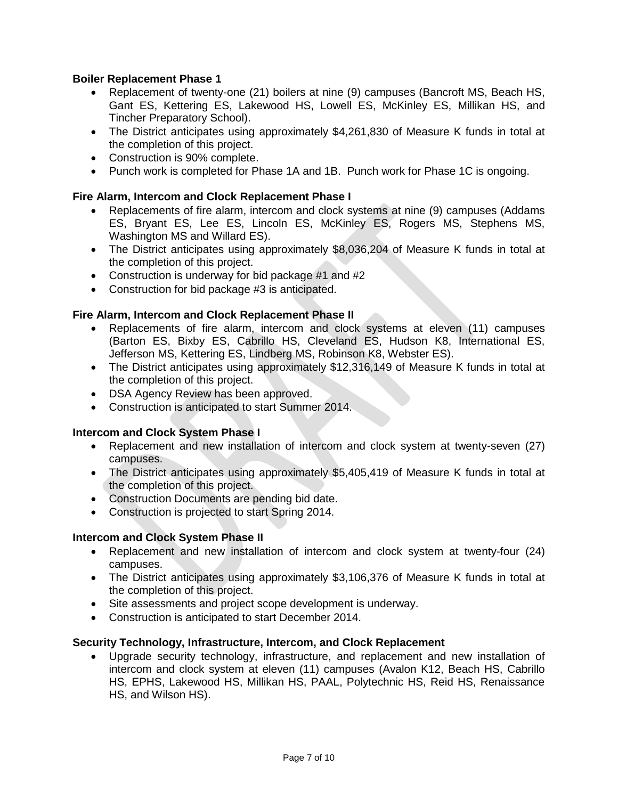## **Boiler Replacement Phase 1**

- Replacement of twenty-one (21) boilers at nine (9) campuses (Bancroft MS, Beach HS, Gant ES, Kettering ES, Lakewood HS, Lowell ES, McKinley ES, Millikan HS, and Tincher Preparatory School).
- The District anticipates using approximately \$4,261,830 of Measure K funds in total at the completion of this project.
- Construction is 90% complete.
- Punch work is completed for Phase 1A and 1B. Punch work for Phase 1C is ongoing.

## **Fire Alarm, Intercom and Clock Replacement Phase I**

- Replacements of fire alarm, intercom and clock systems at nine (9) campuses (Addams ES, Bryant ES, Lee ES, Lincoln ES, McKinley ES, Rogers MS, Stephens MS, Washington MS and Willard ES).
- The District anticipates using approximately \$8,036,204 of Measure K funds in total at the completion of this project.
- Construction is underway for bid package #1 and #2
- Construction for bid package #3 is anticipated.

### **Fire Alarm, Intercom and Clock Replacement Phase II**

- Replacements of fire alarm, intercom and clock systems at eleven (11) campuses (Barton ES, Bixby ES, Cabrillo HS, Cleveland ES, Hudson K8, International ES, Jefferson MS, Kettering ES, Lindberg MS, Robinson K8, Webster ES).
- The District anticipates using approximately \$12,316,149 of Measure K funds in total at the completion of this project.
- DSA Agency Review has been approved.
- Construction is anticipated to start Summer 2014.

#### **Intercom and Clock System Phase I**

- Replacement and new installation of intercom and clock system at twenty-seven (27) campuses.
- The District anticipates using approximately \$5,405,419 of Measure K funds in total at the completion of this project.
- Construction Documents are pending bid date.
- Construction is projected to start Spring 2014.

#### **Intercom and Clock System Phase II**

- Replacement and new installation of intercom and clock system at twenty-four (24) campuses.
- The District anticipates using approximately \$3,106,376 of Measure K funds in total at the completion of this project.
- Site assessments and project scope development is underway.
- Construction is anticipated to start December 2014.

#### **Security Technology, Infrastructure, Intercom, and Clock Replacement**

 Upgrade security technology, infrastructure, and replacement and new installation of intercom and clock system at eleven (11) campuses (Avalon K12, Beach HS, Cabrillo HS, EPHS, Lakewood HS, Millikan HS, PAAL, Polytechnic HS, Reid HS, Renaissance HS, and Wilson HS).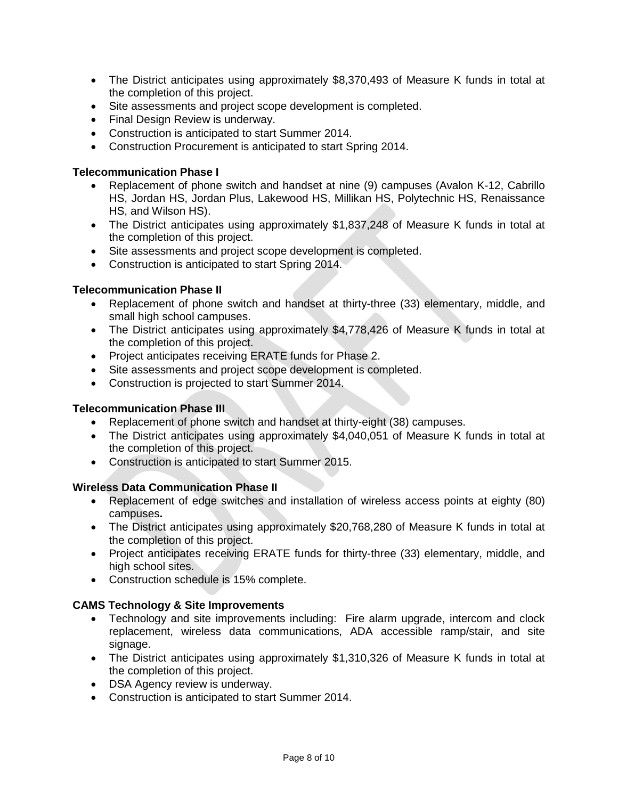- The District anticipates using approximately \$8,370,493 of Measure K funds in total at the completion of this project.
- Site assessments and project scope development is completed.
- Final Design Review is underway.
- Construction is anticipated to start Summer 2014.
- Construction Procurement is anticipated to start Spring 2014.

#### **Telecommunication Phase I**

- Replacement of phone switch and handset at nine (9) campuses (Avalon K-12, Cabrillo HS, Jordan HS, Jordan Plus, Lakewood HS, Millikan HS, Polytechnic HS, Renaissance HS, and Wilson HS).
- The District anticipates using approximately \$1,837,248 of Measure K funds in total at the completion of this project.
- Site assessments and project scope development is completed.
- Construction is anticipated to start Spring 2014.

### **Telecommunication Phase II**

- Replacement of phone switch and handset at thirty-three (33) elementary, middle, and small high school campuses.
- The District anticipates using approximately \$4,778,426 of Measure K funds in total at the completion of this project.
- Project anticipates receiving ERATE funds for Phase 2.
- Site assessments and project scope development is completed.
- Construction is projected to start Summer 2014.

#### **Telecommunication Phase III**

- Replacement of phone switch and handset at thirty-eight (38) campuses.
- The District anticipates using approximately \$4,040,051 of Measure K funds in total at the completion of this project.
- Construction is anticipated to start Summer 2015.

#### **Wireless Data Communication Phase II**

- Replacement of edge switches and installation of wireless access points at eighty (80) campuses**.**
- The District anticipates using approximately \$20,768,280 of Measure K funds in total at the completion of this project.
- Project anticipates receiving ERATE funds for thirty-three (33) elementary, middle, and high school sites.
- Construction schedule is 15% complete.

#### **CAMS Technology & Site Improvements**

- Technology and site improvements including: Fire alarm upgrade, intercom and clock replacement, wireless data communications, ADA accessible ramp/stair, and site signage.
- The District anticipates using approximately \$1,310,326 of Measure K funds in total at the completion of this project.
- DSA Agency review is underway.
- Construction is anticipated to start Summer 2014.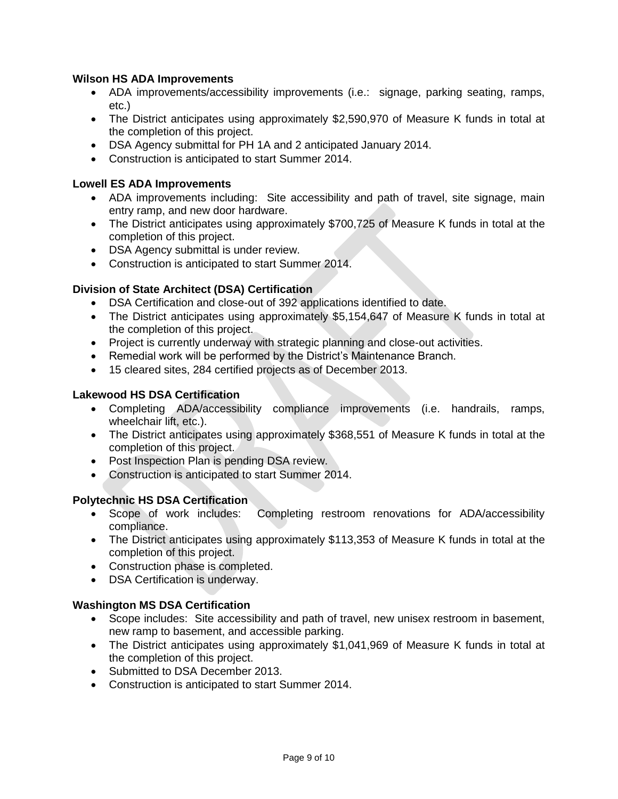## **Wilson HS ADA Improvements**

- ADA improvements/accessibility improvements (i.e.: signage, parking seating, ramps, etc.)
- The District anticipates using approximately \$2,590,970 of Measure K funds in total at the completion of this project.
- DSA Agency submittal for PH 1A and 2 anticipated January 2014.
- Construction is anticipated to start Summer 2014.

## **Lowell ES ADA Improvements**

- ADA improvements including: Site accessibility and path of travel, site signage, main entry ramp, and new door hardware.
- The District anticipates using approximately \$700,725 of Measure K funds in total at the completion of this project.
- DSA Agency submittal is under review.
- Construction is anticipated to start Summer 2014.

# **Division of State Architect (DSA) Certification**

- DSA Certification and close-out of 392 applications identified to date.
- The District anticipates using approximately \$5,154,647 of Measure K funds in total at the completion of this project.
- Project is currently underway with strategic planning and close-out activities.
- Remedial work will be performed by the District's Maintenance Branch.
- 15 cleared sites, 284 certified projects as of December 2013.

## **Lakewood HS DSA Certification**

- Completing ADA/accessibility compliance improvements (i.e. handrails, ramps, wheelchair lift, etc.).
- The District anticipates using approximately \$368,551 of Measure K funds in total at the completion of this project.
- Post Inspection Plan is pending DSA review.
- Construction is anticipated to start Summer 2014.

## **Polytechnic HS DSA Certification**

- Scope of work includes: Completing restroom renovations for ADA/accessibility compliance.
- The District anticipates using approximately \$113,353 of Measure K funds in total at the completion of this project.
- Construction phase is completed.
- DSA Certification is underway.

## **Washington MS DSA Certification**

- Scope includes: Site accessibility and path of travel, new unisex restroom in basement, new ramp to basement, and accessible parking.
- The District anticipates using approximately \$1,041,969 of Measure K funds in total at the completion of this project.
- Submitted to DSA December 2013.
- Construction is anticipated to start Summer 2014.